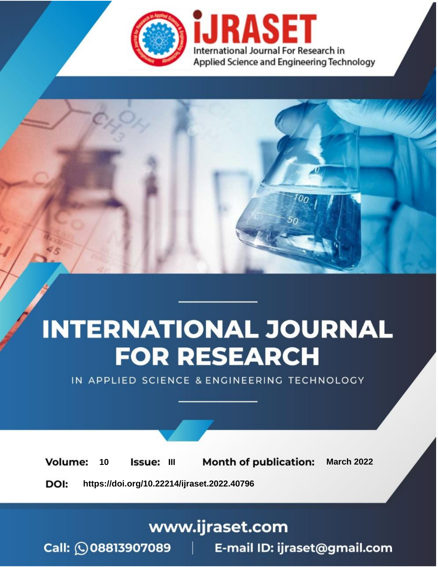

# **INTERNATIONAL JOURNAL FOR RESEARCH**

IN APPLIED SCIENCE & ENGINEERING TECHNOLOGY

10 **Issue: III Month of publication:** March 2022 **Volume:** 

**https://doi.org/10.22214/ijraset.2022.40796**DOI:

www.ijraset.com

Call: 008813907089 | E-mail ID: ijraset@gmail.com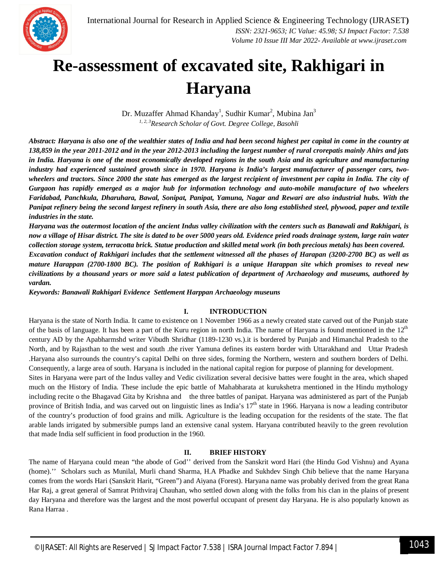

### **Re-assessment of excavated site, Rakhigari in Haryana**

Dr. Muzaffer Ahmad Khanday<sup>1</sup>, Sudhir Kumar<sup>2</sup>, Mubina Jan<sup>3</sup> *1, 2, 3Research Scholar of Govt. Degree College, Basohli*

*Abstract: Haryana is also one of the wealthier states of India and had been second highest per capital in come in the country at 138,859 in the year 2011-2012 and in the year 2012-2013 including the largest number of rural crorepatis mainly Ahirs and jats in India. Haryana is one of the most economically developed regions in the south Asia and its agriculture and manufacturing industry had experienced sustained growth since in 1970. Haryana is India's largest manufacturer of passenger cars, twowheelers and tractors. Since 2000 the state has emerged as the largest recipient of investment per capita in India. The city of Gurgaon has rapidly emerged as a major hub for information technology and auto-mobile manufacture of two wheelers Faridabad, Panchkula, Dharuhara, Bawal, Sonipat, Panipat, Yamuna, Nagar and Rewari are also industrial hubs. With the Panipat refinery being the second largest refinery in south Asia, there are also long established steel, plywood, paper and textile industries in the state.*

*Haryana was the outermost location of the ancient Indus valley civilization with the centers such as Banawali and Rakhigari, is now a village of Hisar district. The site is dated to be over 5000 years old. Evidence pried roads drainage system, large rain water collection storage system, terracotta brick. Statue production and skilled metal work (in both precious metals) has been covered. Excavation conduct of Rakhigari includes that the settlement witnessed all the phases of Harapan (3200-2700 BC) as well as mature Harappan (2700-1800 BC). The position of Rakhigari is a unique Harappan site which promises to reveal new civilizations by a thousand years or more said a latest publication of department of Archaeology and museums, authored by vardan.*

*Keywords: Banawali Rakhigari Evidence Settlement Harppan Archaeology museuns*

#### **I. INTRODUCTION**

Haryana is the state of North India. It came to existence on 1 November 1966 as a newly created state carved out of the Punjab state of the basis of language. It has been a part of the Kuru region in north India. The name of Haryana is found mentioned in the  $12<sup>th</sup>$ century AD by the Apabharmshd writer Vibudh Shridhar (1189-1230 vs.).it is bordered by Punjab and Himanchal Pradesh to the North, and by Rajasthan to the west and south .the river Yamuna defines its eastern border with Uttarakhand and Uttar Pradesh .Haryana also surrounds the country's capital Delhi on three sides, forming the Northern, western and southern borders of Delhi. Consequently, a large area of south. Haryana is included in the national capital region for purpose of planning for development.

Sites in Haryana were part of the Indus valley and Vedic civilization several decisive battes were fought in the area, which shaped much on the History of India. These include the epic battle of Mahabharata at kurukshetra mentioned in the Hindu mythology including recite o the Bhagavad Gita by Krishna and the three battles of panipat. Haryana was administered as part of the Punjab province of British India, and was carved out on linguistic lines as India's  $17<sup>th</sup>$  state in 1966. Haryana is now a leading contributor of the country's production of food grains and milk. Agriculture is the leading occupation for the residents of the state. The flat arable lands irrigated by submersible pumps land an extensive canal system. Haryana contributed heavily to the green revolution that made India self sufficient in food production in the 1960.

#### **II. BRIEF HISTORY**

The name of Haryana could mean "the abode of God'' derived from the Sanskrit word Hari (the Hindu God Vishnu) and Ayana (home).'' Scholars such as Munilal, Murli chand Sharma, H.A Phadke and Sukhdev Singh Chib believe that the name Haryana comes from the words Hari (Sanskrit Harit, "Green") and Aiyana (Forest). Haryana name was probably derived from the great Rana Har Raj, a great general of Samrat Prithviraj Chauhan, who settled down along with the folks from his clan in the plains of present day Haryana and therefore was the largest and the most powerful occupant of present day Haryana. He is also popularly known as Rana Harraa .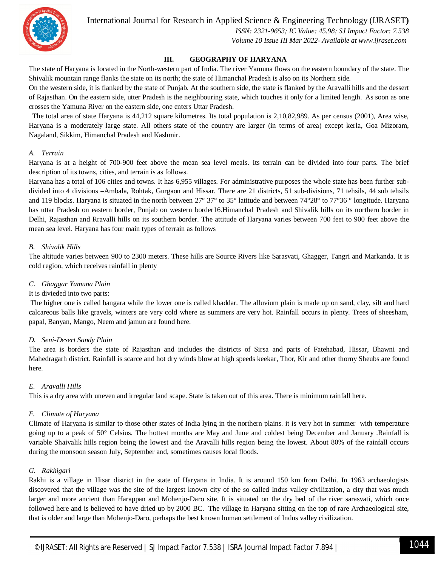International Journal for Research in Applied Science & Engineering Technology (IJRASET**)**



 *ISSN: 2321-9653; IC Value: 45.98; SJ Impact Factor: 7.538 Volume 10 Issue III Mar 2022- Available at www.ijraset.com*

#### **III. GEOGRAPHY OF HARYANA**

The state of Haryana is located in the North-western part of India. The river Yamuna flows on the eastern boundary of the state. The Shivalik mountain range flanks the state on its north; the state of Himanchal Pradesh is also on its Northern side.

On the western side, it is flanked by the state of Punjab. At the southern side, the state is flanked by the Aravalli hills and the dessert of Rajasthan. On the eastern side, utter Pradesh is the neighbouring state, which touches it only for a limited length. As soon as one crosses the Yamuna River on the eastern side, one enters Uttar Pradesh.

 The total area of state Haryana is 44,212 square kilometres. Its total population is 2,10,82,989. As per census (2001), Area wise, Haryana is a moderately large state. All others state of the country are larger (in terms of area) except kerla, Goa Mizoram, Nagaland, Sikkim, Himanchal Pradesh and Kashmir.

#### *A. Terrain*

Haryana is at a height of 700-900 feet above the mean sea level meals. Its terrain can be divided into four parts. The brief description of its towns, cities, and terrain is as follows.

Haryana has a total of 106 cities and towns. It has 6,955 villages. For administrative purposes the whole state has been further subdivided into 4 divisions –Ambala, Rohtak, Gurgaon and Hissar. There are 21 districts, 51 sub-divisions, 71 tehsils, 44 sub tehsils and 119 blocks. Haryana is situated in the north between 27° 37° to 35° latitude and between 74°28° to 77°36 ° longitude. Haryana has uttar Pradesh on eastern border, Punjab on western border16.Himanchal Pradesh and Shivalik hills on its northern border in Delhi, Rajasthan and Rravalli hills on its southern border. The attitude of Haryana varies between 700 feet to 900 feet above the mean sea level. Haryana has four main types of terrain as follows

#### *B. Shivalik Hills*

The altitude varies between 900 to 2300 meters. These hills are Source Rivers like Sarasvati, Ghagger, Tangri and Markanda. It is cold region, which receives rainfall in plenty

#### *C. Ghaggar Yamuna Plain*

#### It is divieded into two parts:

The higher one is called bangara while the lower one is called khaddar. The alluvium plain is made up on sand, clay, silt and hard calcareous balls like gravels, winters are very cold where as summers are very hot. Rainfall occurs in plenty. Trees of sheesham, papal, Banyan, Mango, Neem and jamun are found here.

#### *D. Seni-Desert Sandy Plain*

The area is borders the state of Rajasthan and includes the districts of Sirsa and parts of Fatehabad, Hissar, Bhawni and Mahedragarh district. Rainfall is scarce and hot dry winds blow at high speeds keekar, Thor, Kir and other thorny Sheubs are found here.

#### *E. Aravalli Hills*

This is a dry area with uneven and irregular land scape. State is taken out of this area. There is minimum rainfall here.

#### *F. Climate of Haryana*

Climate of Haryana is similar to those other states of India lying in the northern plains. it is very hot in summer with temperature going up to a peak of 50° Celsius. The hottest months are May and June and coldest being December and January .Rainfall is variable Shaivalik hills region being the lowest and the Aravalli hills region being the lowest. About 80% of the rainfall occurs during the monsoon season July, September and, sometimes causes local floods.

#### *G. Rakhigari*

Rakhi is a village in Hisar district in the state of Haryana in India. It is around 150 km from Delhi. In 1963 archaeologists discovered that the village was the site of the largest known city of the so called Indus valley civilization, a city that was much larger and more ancient than Harappan and Mohenjo-Daro site. It is situated on the dry bed of the river sarasvati, which once followed here and is believed to have dried up by 2000 BC. The village in Haryana sitting on the top of rare Archaeological site, that is older and large than Mohenjo-Daro, perhaps the best known human settlement of Indus valley civilization.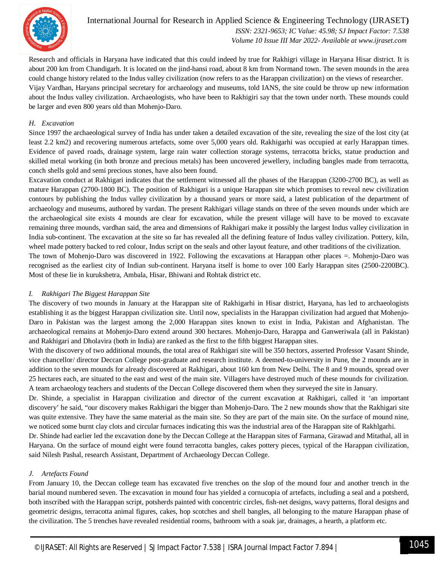

International Journal for Research in Applied Science & Engineering Technology (IJRASET**)**  *ISSN: 2321-9653; IC Value: 45.98; SJ Impact Factor: 7.538*

 *Volume 10 Issue III Mar 2022- Available at www.ijraset.com*

Research and officials in Haryana have indicated that this could indeed by true for Rakhigri village in Haryana Hisar district. It is about 200 km from Chandigarh. It is located on the jind-hansi road, about 8 km from Normand town. The seven mounds in the area could change history related to the Indus valley civilization (now refers to as the Harappan civilization) on the views of researcher. Vijay Vardhan, Haryans principal secretary for archaeology and museums, told IANS, the site could be throw up new information about the Indus valley civilization. Archaeologists, who have been to Rakhigiri say that the town under north. These mounds could be larger and even 800 years old than Mohenjo-Daro.

#### *H. Excavation*

Since 1997 the archaeological survey of India has under taken a detailed excavation of the site, revealing the size of the lost city (at least 2.2 km2) and recovering numerous artefacts, some over 5,000 years old. Rakhigarhi was occupied at early Harappan times. Evidence of paved roads, drainage system, large rain water collection storage systems, terracotta bricks, statue production and skilled metal working (in both bronze and precious metals) has been uncovered jewellery, including bangles made from terracotta, conch shells gold and semi precious stones, have also been found.

Excavation conduct at Rakhigari indicates that the settlement witnessed all the phases of the Harappan (3200-2700 BC), as well as mature Harappan (2700-1800 BC). The position of Rakhigari is a unique Harappan site which promises to reveal new civilization contours by publishing the Indus valley civilization by a thousand years or more said, a latest publication of the department of archaeology and museums, authored by vardan. The present Rakhigari village stands on three of the seven mounds under which are the archaeological site exists 4 mounds are clear for excavation, while the present village will have to be moved to excavate remaining three mounds, vardhan said, the area and dimensions of Rakhigari make it possibly the largest Indus valley civilization in India sub-continent. The excavation at the site so far has revealed all the defining feature of Indus valley civilization. Pottery, kiln, wheel made pottery backed to red colour, Indus script on the seals and other layout feature, and other traditions of the civilization. The town of Mohenjo-Daro was discovered in 1922. Following the excavations at Harappan other places =. Mohenjo-Daro was

recognised as the earliest city of Indian sub-continent. Haryana itself is home to over 100 Early Harappan sites (2500-2200BC). Most of these lie in kurukshetra, Ambala, Hisar, Bhiwani and Rohtak district etc.

#### *I. Rakhigari The Biggest Harappan Site*

The discovery of two mounds in January at the Harappan site of Rakhigarhi in Hisar district, Haryana, has led to archaeologists establishing it as the biggest Harappan civilization site. Until now, specialists in the Harappan civilization had argued that Mohenjo-Daro in Pakistan was the largest among the 2,000 Harappan sites known to exist in India, Pakistan and Afghanistan. The archaeological remains at Mohenjo-Daro extend around 300 hectares. Mohenjo-Daro, Harappa and Ganweriwala (all in Pakistan) and Rakhigari and Dholavira (both in India) are ranked as the first to the fifth biggest Harappan sites.

With the discovery of two additional mounds, the total area of Rakhigari site will be 350 hectors, asserted Professor Vasant Shinde, vice chancellor/ director Deccan College post-graduate and research institute. A deemed-to-university in Pune, the 2 mounds are in addition to the seven mounds for already discovered at Rakhigari, about 160 km from New Delhi. The 8 and 9 mounds, spread over 25 hectares each, are situated to the east and west of the main site. Villagers have destroyed much of these mounds for civilization. A team archaeology teachers and students of the Deccan College discovered them when they surveyed the site in January.

Dr. Shinde, a specialist in Harappan civilization and director of the current excavation at Rakhigari, called it 'an important discovery' he said, "our discovery makes Rakhigari the bigger than Mohenjo-Daro. The 2 new mounds show that the Rakhigari site was quite extensive. They have the same material as the main site. So they are part of the main site. On the surface of mound nine, we noticed some burnt clay clots and circular furnaces indicating this was the industrial area of the Harappan site of Rakhlgarhi.

Dr. Shinde had earlier led the excavation done by the Deccan College at the Harappan sites of Farmana, Girawad and Mitathal, all in Haryana. On the surface of mound eight were found terracotta bangles, cakes pottery pieces, typical of the Harappan civilization, said Nilesh Pashal, research Assistant, Department of Archaeology Deccan College.

#### *J. Artefacts Found*

From January 10, the Deccan college team has excavated five trenches on the slop of the mound four and another trench in the barial mound numbered seven. The excavation in mound four has yielded a cornucopia of artefacts, including a seal and a potsherd, both inscribed with the Harappan script, potsherds painted with concentric circles, fish-net designs, wavy patterns, floral designs and geometric designs, terracotta animal figures, cakes, hop scotches and shell bangles, all belonging to the mature Harappan phase of the civilization. The 5 trenches have revealed residential rooms, bathroom with a soak jar, drainages, a hearth, a platform etc.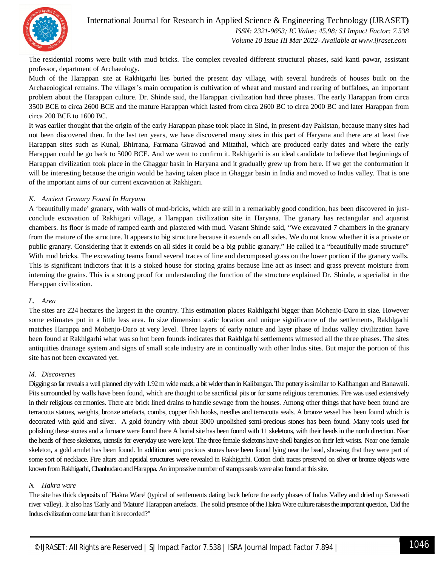

International Journal for Research in Applied Science & Engineering Technology (IJRASET**)**

 *ISSN: 2321-9653; IC Value: 45.98; SJ Impact Factor: 7.538 Volume 10 Issue III Mar 2022- Available at www.ijraset.com*

The residential rooms were built with mud bricks. The complex revealed different structural phases, said kanti pawar, assistant professor, department of Archaeology.

Much of the Harappan site at Rakhigarhi lies buried the present day village, with several hundreds of houses built on the Archaeological remains. The villager's main occupation is cultivation of wheat and mustard and rearing of buffaloes, an important problem about the Harappan culture. Dr. Shinde said, the Harappan civilization had three phases. The early Harappan from circa 3500 BCE to circa 2600 BCE and the mature Harappan which lasted from circa 2600 BC to circa 2000 BC and later Harappan from circa 200 BCE to 1600 BC.

It was earlier thought that the origin of the early Harappan phase took place in Sind, in present-day Pakistan, because many sites had not been discovered then. In the last ten years, we have discovered many sites in this part of Haryana and there are at least five Harappan sites such as Kunal, Bhirrana, Farmana Girawad and Mitathal, which are produced early dates and where the early Harappan could be go back to 5000 BCE. And we went to confirm it. Rakhigarhi is an ideal candidate to believe that beginnings of Harappan civilization took place in the Ghaggar basin in Haryana and it gradually grew up from here. If we get the conformation it will be interesting because the origin would be having taken place in Ghaggar basin in India and moved to Indus valley. That is one of the important aims of our current excavation at Rakhigari.

#### *K. Ancient Granary Found In Haryana*

A 'beautifully made' granary, with walls of mud-bricks, which are still in a remarkably good condition, has been discovered in justconclude excavation of Rakhigari village, a Harappan civilization site in Haryana. The granary has rectangular and aquarist chambers. Its floor is made of ramped earth and plastered with mud. Vasant Shinde said, "We excavated 7 chambers in the granary from the mature of the structure. It appears to big structure because it extends on all sides. We do not know whether it is a private or public granary. Considering that it extends on all sides it could be a big public granary." He called it a "beautifully made structure" With mud bricks. The excavating teams found several traces of line and decomposed grass on the lower portion if the granary walls. This is significant indictors that it is a stoked house for storing grains because line act as insect and grass prevent moisture from interning the grains. This is a strong proof for understanding the function of the structure explained Dr. Shinde, a specialist in the Harappan civilization.

#### *L. Area*

The sites are 224 hectares the largest in the country. This estimation places Rakhlgarhi bigger than Mohenjo-Daro in size. However some estimates put in a little less area. In size dimension static location and unique significance of the settlements, Rakhlgarhi matches Harappa and Mohenjo-Daro at very level. Three layers of early nature and layer phase of Indus valley civilization have been found at Rakhlgarhi what was so hot been founds indicates that Rakhlgarhi settlements witnessed all the three phases. The sites antiquities drainage system and signs of small scale industry are in continually with other Indus sites. But major the portion of this site has not been excavated yet.

#### *M. Discoveries*

Digging so far reveals a well planned city with 1.92 m wide roads, a bit wider than in Kalibangan. The pottery is similar to Kalibangan and Banawali. Pits surrounded by walls have been found, which are thought to be sacrificial pits or for some religious ceremonies. Fire was used extensively in their religious ceremonies. There are brick lined drains to handle sewage from the houses. Among other things that have been found are terracotta statues, weights, bronze artefacts, combs, copper fish hooks, needles and terracotta seals. A bronze vessel has been found which is decorated with gold and silver. A gold foundry with about 3000 unpolished semi-precious stones has been found. Many tools used for polishing these stones and a furnace were found there A burial site has been found with 11 skeletons, with their heads in the north direction. Near the heads of these skeletons, utensils for everyday use were kept. The three female skeletons have shell bangles on their left wrists. Near one female skeleton, a gold armlet has been found. In addition semi precious stones have been found lying near the bead, showing that they were part of some sort of necklace. Fire altars and apsidal structures were revealed in Rakhigarhi. Cotton cloth traces preserved on silver or bronze objects were known from Rakhigarhi, Chanhudaro and Harappa. An impressive number of stamps seals were also found at this site.

#### *N. Hakra ware*

The site has thick deposits of `Hakra Ware' (typical of settlements dating back before the early phases of Indus Valley and dried up Sarasvati river valley). It also has 'Early and 'Mature' Harappan artefacts. The solid presence of the Hakra Ware culture raises the important question, 'Did the Indus civilization come later than it is recorded?"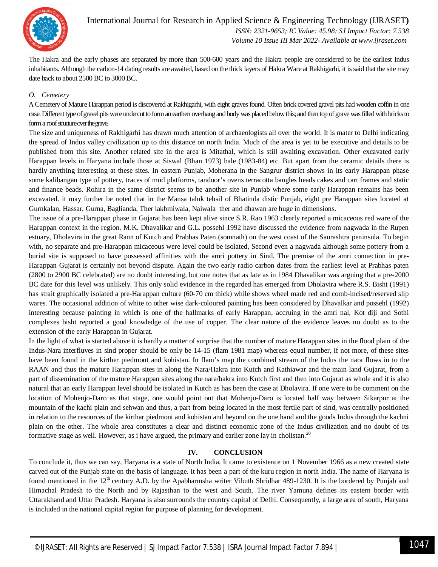

The Hakra and the early phases are separated by more than 500-600 years and the Hakra people are considered to be the earliest Indus inhabitants. Although the carbon-14 dating results are awaited, based on the thick layers of Hakra Ware at Rakhigarhi, it is said that the site may date back to about 2500 BC to 3000 BC.

#### *O. Cemetery*

A Cemetery of Mature Harappan period is discovered at Rakhigarhi, with eight graves found. Often brick covered gravel pits had wooden coffin in one case. Different type of gravel pits were undercut to form an earthen overhang and body was placed below this; and then top of grave was filled with bricks to form a roof structure over the grave.

The size and uniqueness of Rakhigarhi has drawn much attention of archaeologists all over the world. It is mater to Delhi indicating the spread of Indus valley civilization up to this distance on north India. Much of the area is yet to be executive and details to be published from this site. Another related site in the area is Mitathal, which is still awaiting excavation. Other excavated early Harappan levels in Haryana include those at Siswal (Bhan 1973) bale (1983-84) etc. But apart from the ceramic details there is hardly anything interesting at these sites. In eastern Punjab, Moherana in the Sangrur district shows in its early Harappan phase some kalibangan type of pottery, traces of mud platforms, tandoor's ovens terracotta bangles heads cakes and cart frames and static and finance beads. Rohira in the same district seems to be another site in Punjab where some early Harappan remains has been excavated. it may further be noted that in the Mansa taluk tehsil of Bhatinda distic Punjab, eight pre Harappan sites located at Gurnkalan, Hassar, Gurna, Baglianda, Ther lakhmiwala, Naiwala ther and dhawan are huge in dimensions.

The issue of a pre-Harappan phase in Gujarat has been kept alive since S.R. Rao 1963 clearly reported a micaceous red ware of the Harappan context in the region. M.K. Dhavalikar and G.L. possehl 1992 have discussed the evidence from nagwada in the Rupen estuary, Dholavira in the great Rann of Kutch and Prabhas Paten (somnath) on the west coast of the Saurashtra peninsula. To begin with, no separate and pre-Harappan micaceous were level could be isolated, Second even a nagwada although some pottery from a burial site is supposed to have possessed affinities with the amri pottery in Sind. The premise of the amri connection in pre-Harappan Gujarat is certainly not beyond dispute. Again the two early radio carbon dates from the earliest level at Prabhas paten (2800 to 2900 BC celebrated) are no doubt interesting, but one notes that as late as in 1984 Dhavalikar was arguing that a pre-2000 BC date for this level was unlikely. This only solid evidence in the regarded has emerged from Dholavira where R.S. Bisht (1991) has strait graphically isolated a pre-Harappan culture (60-70 cm thick) while shows wheel made red and comb-incised/reserved slip wares. The occasional addition of white to other wise dark-coloured painting has been considered by Dhavalkar and possehl (1992) interesting because painting in which is one of the hallmarks of early Harappan, accruing in the amri nal, Kot diji and Sothi complexes bisht reported a good knowledge of the use of copper. The clear nature of the evidence leaves no doubt as to the extension of the early Harappan in Gujarat.

In the light of what is started above it is hardly a matter of surprise that the number of mature Harappan sites in the flood plain of the Indus-Nara interfluves in sind proper should be only be 14-15 (flam 1981 map) whereas equal number, if not more, of these sites have been found in the kirther piedmont and kohistan. In flam's map the combined stream of the Indus the nara flows in to the RAAN and thus the mature Harappan sites in along the Nara/Hakra into Kutch and Kathiawar and the main land Gujarat, from a part of dissemination of the mature Harappan sites along the nara/hakra into Kutch first and then into Gujarat as whole and it is also natural that an early Harappan level should be isolated in Kutch as has been the case at Dholavira. If one were to be comment on the location of Mohenjo-Daro as that stage, one would point out that Mohenjo-Daro is located half way between Sikarpur at the mountain of the kachi plain and sehwan and thus, a part from being located in the most fertile part of sind, was centrally positioned in relation to the resources of the kirthar piedmont and kohistan and beyond on the one hand and the goods Indus through the kachni plain on the other. The whole area constitutes a clear and distinct economic zone of the Indus civilization and no doubt of its formative stage as well. However, as i have argued, the primary and earlier zone lay in cholistan.<sup>20</sup>

#### **IV. CONCLUSION**

To conclude it, thus we can say, Haryana is a state of North India. It came to existence on 1 November 1966 as a new created state carved out of the Punjab state on the basis of language. It has been a part of the kuru region in north India. The name of Haryana is found mentioned in the  $12<sup>th</sup>$  century A.D. by the Apabharmsha writer Vibuth Shridhar 489-1230. It is the bordered by Punjab and Himachal Pradesh to the North and by Rajasthan to the west and South. The river Yamuna defines its eastern border with Uttarakhand and Uttar Pradesh. Haryana is also surrounds the country capital of Delhi. Consequently, a large area of south, Haryana is included in the national capital region for purpose of planning for development.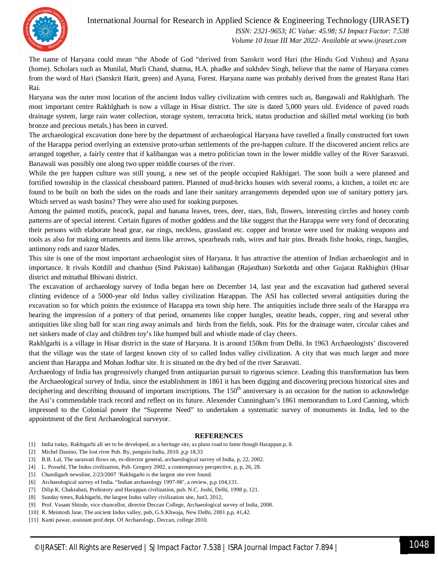

#### International Journal for Research in Applied Science & Engineering Technology (IJRASET**)**  *ISSN: 2321-9653; IC Value: 45.98; SJ Impact Factor: 7.538 Volume 10 Issue III Mar 2022- Available at www.ijraset.com*

The name of Haryana could mean "the Abode of God "derived from Sanskrit word Hari (the Hindu God Vishnu) and Ayana (home). Scholars such as Munilal, Murli Chand, shatma, H.A. phadke and sukhdev Singh, believe that the name of Haryana comes from the word of Hari (Sanskrit Harit, green) and Ayana, Forest. Haryana name was probably derived from the greatest Rana Hari Rai.

Haryana was the outer most location of the ancient Indus valley civilization with centres such as, Bangawali and Rakhlgharh. The most important centre Rakhlgharh is now a village in Hisar district. The site is dated 5,000 years old. Evidence of paved roads drainage system, large rain water collection, storage system, terracotta brick, status production and skilled metal working (in both bronze and precious metals.) has been in curved.

The archaeological excavation done here by the department of archaeological Haryana have ravelled a finally constructed fort town of the Harappa period overlying an extensive proto-urban settlements of the pre-happen culture. If the discovered ancient relics are arranged together, a fairly centre that if kalibangan was a metro politician town in the lower middle valley of the River Sarasvati. Banawali was possibly one along two upper middle courses of the river.

While the pre happen culture was still young, a new set of the people occupied Rakhigari. The soon built a were planned and fortified township in the classical chessboard pattern. Planned of mud-bricks houses with several rooms, a kitchen, a toilet etc are found to be built on both the sides on the roads and lane their sanitary arrangements depended upon use of sanitary pottery jars. Which served as wash basins? They were also used for soaking purposes.

Among the painted motifs, peacock, papal and banana leaves, trees, deer, stars, fish, flowers, interesting circles and honey comb patterns are of special interest. Certain figures of mother goddess and the like suggest that the Harappa were very fond of decorating their persons with elaborate head gear, ear rings, neckless, grassland etc. copper and bronze were used for making weapons and tools as also for making ornaments and items like arrows, spearheads rods, wires and hair pins. Breads fishe hooks, rings, bangles, antimony rods and razor blades.

This site is one of the most important archaeologist sites of Haryana. It has attractive the attention of Indian archaeologist and in importance. It rivals Kotdill and chanhuo (Sind Pakistan) kalibangan (Rajasthan) Surkotda and other Gujarat Rakhighiri (Hisar district and mittathal Bhiwani district.

The excavation of archaeology survey of India began here on December 14, last year and the excavation had gathered several clinting evidence of a 5000-year old Indus valley civilization Harappan. The ASI has collected several antiquities during the excavation so for which points the existence of Harappa era town ship here. The antiquities include three seals of the Harappa era bearing the impression of a pottery of that period, ornaments like copper bangles, steatite beads, copper, ring and several other antiquities like sling ball for scan ring away animals and birds from the fields, soak. Pits for the drainage water, circular cakes and net sinkers made of clay and children toy's like humped bull and whistle made of clay cheers.

Rakhlgarhi is a village in Hisar district in the state of Haryana. It is around 150km from Delhi. In 1963 Archaeologists' discovered that the village was the state of largest known city of so called Indus valley civilization. A city that was much larger and more ancient than Harappa and Mohan Jodhar site. It is situated on the dry bed of the river Sarasvati.

Archaeology of India has progressively changed from antiquarian pursuit to rigorous science. Leading this transformation has been the Archaeological survey of India, since the establishment in 1861 it has been digging and discovering precious historical sites and deciphering and describing thousand of important inscriptions. The  $150<sup>th</sup>$  anniversary is an occasion for the nation to acknowledge the Asi's commendable track record and reflect on its future. Alexender Cunningham's 1861 memorandum to Lord Canning, which impressed to the Colonial power the "Supreme Need" to undertaken a systematic survey of monuments in India, led to the appointment of the first Archaeological surveyor.

#### **REFERENCES**

- [1] India today, Rakhigarhi all set to be developed, as a heritage site, as plans road to fame though Harappan.p, 8.
- [2] Michel Danino, The lost river Pub. By, penguin India, 2010. p,p 18,33
- [3] B.B. Lal, The sarasvati flows on, ex-director general, archaeological survey of India, p, 22, 2002.
- [4] L. Possehl, The Indus civilization, Pub. Gregory 2002, a contemporary perspective, p, p, 26, 28.
- [5] Chandigarh newsline, 2/23/2007 'Rakhigarhi is the largest site ever found.
- [6] Archaeological survey of India. "Indian archaeology 1997-98', a review, p,p 104,131.
- [7] Dilip K. Chakrabati, Prehistory and Harappan civilization, pub. N.C. Joshi, Delhi, 1998 p, 121.
- [8] Sunday times, Rakhigarhi, the largest Indus valley civilization site, Jun3, 2012,
- [9] Prof. Vasant Shinde, vice chancellor, director Deccan College, Archaeological survey of India, 2008.
- [10] R. Meintosh Jane, The ancient Indus valley, pub, G.S.Khwaja, New Delhi, 2001 p,p, 41,42.
- [11] Kanti pawar, assistant prof.dept. Of Archaeology, Deccan, college 2010.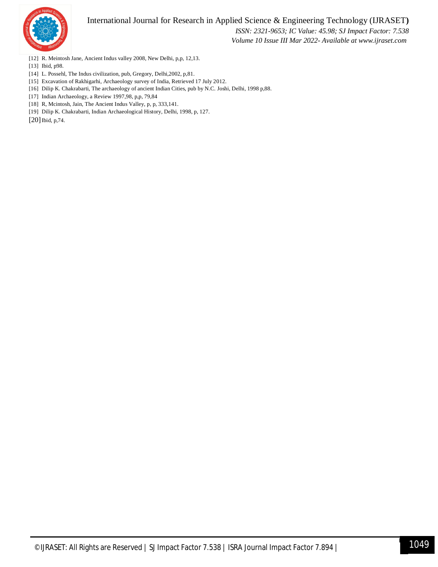



 *ISSN: 2321-9653; IC Value: 45.98; SJ Impact Factor: 7.538 Volume 10 Issue III Mar 2022- Available at www.ijraset.com*

- [12] R. Meintosh Jane, Ancient Indus valley 2008, New Delhi, p,p, 12,13.
- [13] Ibid, p98.
- [14] L. Possehl, The Indus civilization, pub, Gregory, Delhi,2002, p,81.
- [15] Excavation of Rakhigarhi, Archaeology survey of India, Retrieved 17 July 2012.
- [16] Dilip K. Chakrabarti, The archaeology of ancient Indian Cities, pub by N.C. Joshi, Delhi, 1998 p,88.
- [17] Indian Archaeology, a Review 1997,98, p,p, 79,84
- [18] R, Mcintosh, Jain, The Ancient Indus Valley, p, p, 333,141.
- [19] Dilip K. Chakrabarti, Indian Archaeological History, Delhi, 1998, p, 127.

 $[20]$  Ibid, p, 74.